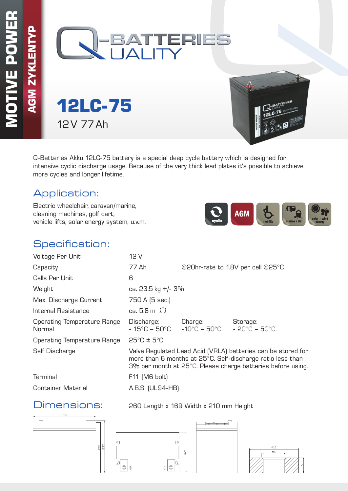**AGM ZYKLENTYP**



**12LC-75** 12V 77Ah

Q-Batteries Akku 12LC-75 battery is a special deep cycle battery which is designed for intensive cyclic discharge usage. Because of the very thick lead plates it's possible to achieve more cycles and longer lifetime.

## Application:

Electric wheelchair, caravan/marine, cleaning machines, golf cart, vehicle lifts, solar energy system, u.v.m.



### Specification:

| Voltage Per Unit                             | 12 V                                                                                                                                                                                      |         |                                               |  |  |  |
|----------------------------------------------|-------------------------------------------------------------------------------------------------------------------------------------------------------------------------------------------|---------|-----------------------------------------------|--|--|--|
| Capacity                                     | 77 Ah                                                                                                                                                                                     |         | @20hr-rate to 1.8V per cell @25°C             |  |  |  |
| Cells Per Unit                               | 6                                                                                                                                                                                         |         |                                               |  |  |  |
| Weight                                       | ca. 23.5 kg +/- 3%                                                                                                                                                                        |         |                                               |  |  |  |
| Max. Discharge Current                       | 750 A (5 sec.)                                                                                                                                                                            |         |                                               |  |  |  |
| Internal Resistance                          | ca. 5.8 m $\Omega$                                                                                                                                                                        |         |                                               |  |  |  |
| <b>Operating Temperature Range</b><br>Normal | Discharge:<br>$-15^{\circ}$ C – 50 $^{\circ}$ C $-10^{\circ}$ C – 50 $^{\circ}$ C –                                                                                                       | Charge: | Storage:<br>$-20^{\circ}$ C – 50 $^{\circ}$ C |  |  |  |
| <b>Operating Temperature Range</b>           | $25^{\circ}$ C ± $5^{\circ}$ C                                                                                                                                                            |         |                                               |  |  |  |
| Self Discharge                               | Valve Regulated Lead Acid (VRLA) batteries can be stored for<br>more than 6 months at 25°C. Self-discharge ratio less than<br>3% per month at 25°C. Please charge batteries before using. |         |                                               |  |  |  |
| <b>Terminal</b>                              | F11 (M6 bolt)                                                                                                                                                                             |         |                                               |  |  |  |
| <b>Container Material</b>                    | A.B.S. (UL94-HB)                                                                                                                                                                          |         |                                               |  |  |  |

### Dimensions: 260 Length x 169 Width x 210 mm Height

260  $\frac{5}{25}$  $210$